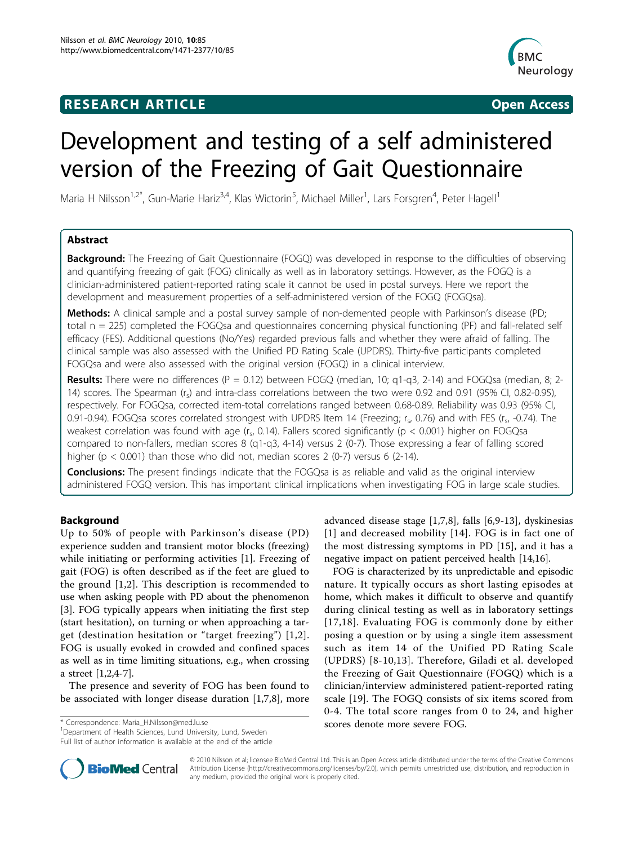# **RESEARCH ARTICLE Example 2018 CONSIDERING ACCESS**



# Development and testing of a self administered version of the Freezing of Gait Questionnaire

Maria H Nilsson<sup>1,2\*</sup>, Gun-Marie Hariz<sup>3,4</sup>, Klas Wictorin<sup>5</sup>, Michael Miller<sup>1</sup>, Lars Forsgren<sup>4</sup>, Peter Hagell<sup>1</sup>

# Abstract

**Background:** The Freezing of Gait Questionnaire (FOGQ) was developed in response to the difficulties of observing and quantifying freezing of gait (FOG) clinically as well as in laboratory settings. However, as the FOGQ is a clinician-administered patient-reported rating scale it cannot be used in postal surveys. Here we report the development and measurement properties of a self-administered version of the FOGQ (FOGQsa).

Methods: A clinical sample and a postal survey sample of non-demented people with Parkinson's disease (PD; total n = 225) completed the FOGQsa and questionnaires concerning physical functioning (PF) and fall-related self efficacy (FES). Additional questions (No/Yes) regarded previous falls and whether they were afraid of falling. The clinical sample was also assessed with the Unified PD Rating Scale (UPDRS). Thirty-five participants completed FOGQsa and were also assessed with the original version (FOGQ) in a clinical interview.

**Results:** There were no differences (P = 0.12) between FOGQ (median, 10; q1-q3, 2-14) and FOGQsa (median, 8; 2-14) scores. The Spearman (r<sub>s</sub>) and intra-class correlations between the two were 0.92 and 0.91 (95% CI, 0.82-0.95), respectively. For FOGQsa, corrected item-total correlations ranged between 0.68-0.89. Reliability was 0.93 (95% CI, 0.91-0.94). FOGQsa scores correlated strongest with UPDRS Item 14 (Freezing; r., 0.76) and with FES (r., -0.74). The weakest correlation was found with age ( $r_s$ , 0.14). Fallers scored significantly ( $p < 0.001$ ) higher on FOGQsa compared to non-fallers, median scores 8 (q1-q3, 4-14) versus 2 (0-7). Those expressing a fear of falling scored higher ( $p < 0.001$ ) than those who did not, median scores 2 (0-7) versus 6 (2-14).

**Conclusions:** The present findings indicate that the FOGQsa is as reliable and valid as the original interview administered FOGQ version. This has important clinical implications when investigating FOG in large scale studies.

# Background

Up to 50% of people with Parkinson's disease (PD) experience sudden and transient motor blocks (freezing) while initiating or performing activities [[1\]](#page-6-0). Freezing of gait (FOG) is often described as if the feet are glued to the ground [\[1,2](#page-6-0)]. This description is recommended to use when asking people with PD about the phenomenon [[3\]](#page-6-0). FOG typically appears when initiating the first step (start hesitation), on turning or when approaching a target (destination hesitation or "target freezing") [[1](#page-6-0),[2\]](#page-6-0). FOG is usually evoked in crowded and confined spaces as well as in time limiting situations, e.g., when crossing a street [\[1,2,4](#page-6-0)-[7\]](#page-6-0).

The presence and severity of FOG has been found to be associated with longer disease duration [[1,7,8](#page-6-0)], more

<sup>1</sup>Department of Health Sciences, Lund University, Lund, Sweden Full list of author information is available at the end of the article advanced disease stage [\[1](#page-6-0),[7,8\]](#page-6-0), falls [[6,9](#page-6-0)-[13\]](#page-6-0), dyskinesias [[1](#page-6-0)] and decreased mobility [[14\]](#page-7-0). FOG is in fact one of the most distressing symptoms in PD [[15](#page-7-0)], and it has a negative impact on patient perceived health [[14](#page-7-0),[16](#page-7-0)].

FOG is characterized by its unpredictable and episodic nature. It typically occurs as short lasting episodes at home, which makes it difficult to observe and quantify during clinical testing as well as in laboratory settings [[17,18\]](#page-7-0). Evaluating FOG is commonly done by either posing a question or by using a single item assessment such as item 14 of the Unified PD Rating Scale (UPDRS) [[8-10,13\]](#page-6-0). Therefore, Giladi et al. developed the Freezing of Gait Questionnaire (FOGQ) which is a clinician/interview administered patient-reported rating scale [\[19\]](#page-7-0). The FOGQ consists of six items scored from 0-4. The total score ranges from 0 to 24, and higher scores denote more severe FOG. \* Correspondence: [Maria\\_H.Nilsson@med.lu.se](mailto:Maria_H.Nilsson@med.lu.se)



© 2010 Nilsson et al; licensee BioMed Central Ltd. This is an Open Access article distributed under the terms of the Creative Commons Attribution License [\(http://creativecommons.org/licenses/by/2.0](http://creativecommons.org/licenses/by/2.0)), which permits unrestricted use, distribution, and reproduction in any medium, provided the original work is properly cited.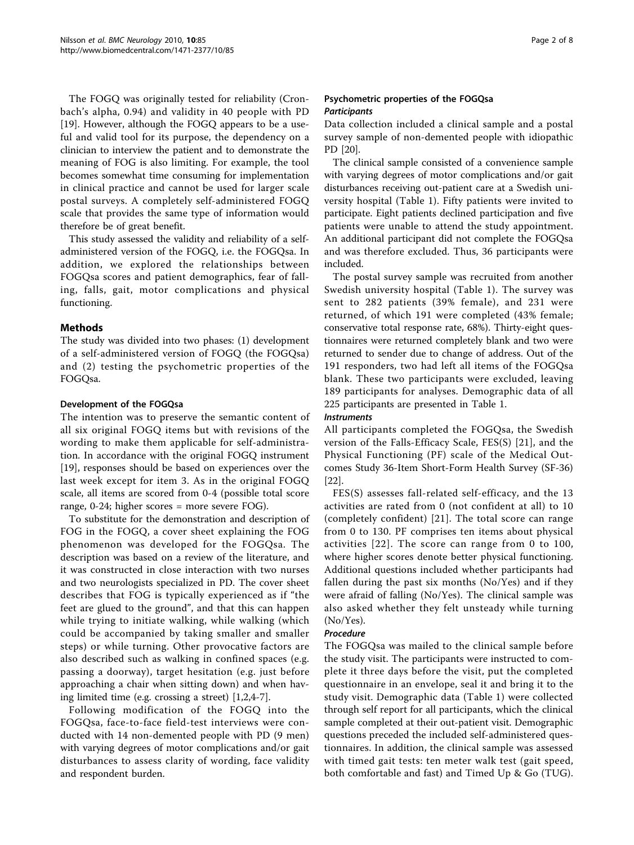The FOGQ was originally tested for reliability (Cronbach's alpha, 0.94) and validity in 40 people with PD [[19\]](#page-7-0). However, although the FOGQ appears to be a useful and valid tool for its purpose, the dependency on a clinician to interview the patient and to demonstrate the meaning of FOG is also limiting. For example, the tool becomes somewhat time consuming for implementation in clinical practice and cannot be used for larger scale postal surveys. A completely self-administered FOGQ scale that provides the same type of information would therefore be of great benefit.

This study assessed the validity and reliability of a selfadministered version of the FOGQ, i.e. the FOGQsa. In addition, we explored the relationships between FOGQsa scores and patient demographics, fear of falling, falls, gait, motor complications and physical functioning.

# **Methods**

The study was divided into two phases: (1) development of a self-administered version of FOGQ (the FOGQsa) and (2) testing the psychometric properties of the FOGQsa.

# Development of the FOGQsa

The intention was to preserve the semantic content of all six original FOGQ items but with revisions of the wording to make them applicable for self-administration. In accordance with the original FOGQ instrument [[19\]](#page-7-0), responses should be based on experiences over the last week except for item 3. As in the original FOGQ scale, all items are scored from 0-4 (possible total score range, 0-24; higher scores = more severe FOG).

To substitute for the demonstration and description of FOG in the FOGQ, a cover sheet explaining the FOG phenomenon was developed for the FOGQsa. The description was based on a review of the literature, and it was constructed in close interaction with two nurses and two neurologists specialized in PD. The cover sheet describes that FOG is typically experienced as if "the feet are glued to the ground", and that this can happen while trying to initiate walking, while walking (which could be accompanied by taking smaller and smaller steps) or while turning. Other provocative factors are also described such as walking in confined spaces (e.g. passing a doorway), target hesitation (e.g. just before approaching a chair when sitting down) and when having limited time (e.g. crossing a street) [[1](#page-6-0),[2,4-7](#page-6-0)].

Following modification of the FOGQ into the FOGQsa, face-to-face field-test interviews were conducted with 14 non-demented people with PD (9 men) with varying degrees of motor complications and/or gait disturbances to assess clarity of wording, face validity and respondent burden.

# Psychometric properties of the FOGQsa **Participants**

Data collection included a clinical sample and a postal survey sample of non-demented people with idiopathic PD [[20\]](#page-7-0).

The clinical sample consisted of a convenience sample with varying degrees of motor complications and/or gait disturbances receiving out-patient care at a Swedish university hospital (Table [1](#page-2-0)). Fifty patients were invited to participate. Eight patients declined participation and five patients were unable to attend the study appointment. An additional participant did not complete the FOGQsa and was therefore excluded. Thus, 36 participants were included.

The postal survey sample was recruited from another Swedish university hospital (Table [1](#page-2-0)). The survey was sent to 282 patients (39% female), and 231 were returned, of which 191 were completed (43% female; conservative total response rate, 68%). Thirty-eight questionnaires were returned completely blank and two were returned to sender due to change of address. Out of the 191 responders, two had left all items of the FOGQsa blank. These two participants were excluded, leaving 189 participants for analyses. Demographic data of all 225 participants are presented in Table [1](#page-2-0).

# Instruments

All participants completed the FOGQsa, the Swedish version of the Falls-Efficacy Scale, FES(S) [\[21\]](#page-7-0), and the Physical Functioning (PF) scale of the Medical Outcomes Study 36-Item Short-Form Health Survey (SF-36) [[22\]](#page-7-0).

FES(S) assesses fall-related self-efficacy, and the 13 activities are rated from 0 (not confident at all) to 10 (completely confident) [\[21\]](#page-7-0). The total score can range from 0 to 130. PF comprises ten items about physical activities [[22](#page-7-0)]. The score can range from 0 to 100, where higher scores denote better physical functioning. Additional questions included whether participants had fallen during the past six months (No/Yes) and if they were afraid of falling (No/Yes). The clinical sample was also asked whether they felt unsteady while turning (No/Yes).

# Procedure

The FOGQsa was mailed to the clinical sample before the study visit. The participants were instructed to complete it three days before the visit, put the completed questionnaire in an envelope, seal it and bring it to the study visit. Demographic data (Table [1](#page-2-0)) were collected through self report for all participants, which the clinical sample completed at their out-patient visit. Demographic questions preceded the included self-administered questionnaires. In addition, the clinical sample was assessed with timed gait tests: ten meter walk test (gait speed, both comfortable and fast) and Timed Up & Go (TUG).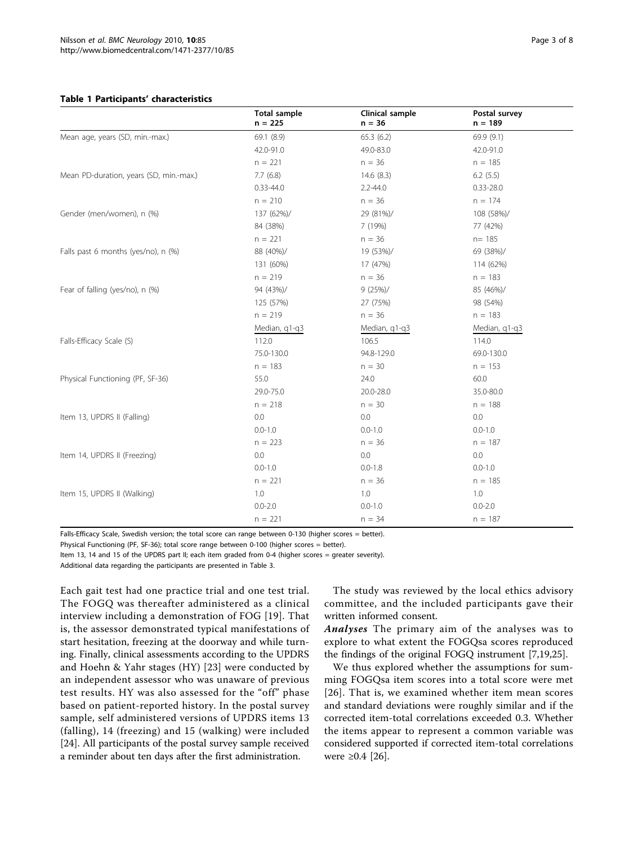## <span id="page-2-0"></span>Table 1 Participants' characteristics

|                                         | <b>Total sample</b><br>$n = 225$ | Clinical sample<br>$n = 36$ | Postal survey<br>$n = 189$ |  |
|-----------------------------------------|----------------------------------|-----------------------------|----------------------------|--|
| Mean age, years (SD, min.-max.)         | 69.1 (8.9)                       | 65.3(6.2)                   | 69.9 (9.1)                 |  |
|                                         | 42.0-91.0                        | 49.0-83.0                   | 42.0-91.0                  |  |
|                                         | $n = 221$                        | $n = 36$                    | $n = 185$                  |  |
| Mean PD-duration, years (SD, min.-max.) | 7.7(6.8)                         | 14.6(8.3)                   | 6.2(5.5)                   |  |
|                                         | $0.33 - 44.0$                    | $2.2 - 44.0$                | $0.33 - 28.0$              |  |
|                                         | $n = 210$                        | $n = 36$                    | $n = 174$                  |  |
| Gender (men/women), n (%)               | 137 (62%)/                       | 29 (81%)/                   | 108 (58%)/                 |  |
|                                         | 84 (38%)                         | 7 (19%)                     | 77 (42%)                   |  |
|                                         | $n = 221$                        | $n = 36$                    | $n = 185$                  |  |
| Falls past 6 months (yes/no), n (%)     | 88 (40%)/                        | 19 (53%)/                   | 69 (38%)/                  |  |
|                                         | 131 (60%)                        | 17 (47%)                    | 114 (62%)                  |  |
|                                         | $n = 219$                        | $n = 36$                    | $n = 183$                  |  |
| Fear of falling (yes/no), n (%)         | 94 (43%)/                        | 9(25%)/                     | 85 (46%)/                  |  |
|                                         | 125 (57%)                        | 27 (75%)                    | 98 (54%)                   |  |
|                                         | $n = 219$                        | $n = 36$                    | $n = 183$                  |  |
|                                         | Median, q1-q3                    | Median, q1-q3               | Median, q1-q3              |  |
| Falls-Efficacy Scale (S)                | 112.0                            | 106.5                       | 114.0                      |  |
|                                         | 75.0-130.0                       | 94.8-129.0                  | 69.0-130.0                 |  |
|                                         | $n = 183$                        | $n = 30$                    | $n = 153$                  |  |
| Physical Functioning (PF, SF-36)        | 55.0                             | 24.0                        | 60.0                       |  |
|                                         | 29.0-75.0                        | 20.0-28.0                   | 35.0-80.0                  |  |
|                                         | $n = 218$                        | $n = 30$                    | $n = 188$                  |  |
| Item 13, UPDRS II (Falling)             | 0.0                              | 0.0                         | 0.0                        |  |
|                                         | $0.0 - 1.0$                      | $0.0 - 1.0$                 | $0.0 - 1.0$                |  |
|                                         | $n = 223$                        | $n = 36$                    | $n = 187$                  |  |
| Item 14, UPDRS II (Freezing)            | 0.0                              | 0.0                         | 0.0                        |  |
|                                         | $0.0 - 1.0$                      | $0.0 - 1.8$                 | $0.0 - 1.0$                |  |
|                                         | $n = 221$                        | $n = 36$                    | $n = 185$                  |  |
| Item 15, UPDRS II (Walking)             | 1.0                              | 1.0                         | 1.0                        |  |
|                                         | $0.0 - 2.0$                      | $0.0 - 1.0$                 | $0.0 - 2.0$                |  |
|                                         | $n = 221$                        | $n = 34$                    | $n = 187$                  |  |

Falls-Efficacy Scale, Swedish version; the total score can range between 0-130 (higher scores = better).

Physical Functioning (PF, SF-36); total score range between 0-100 (higher scores = better).

Item 13, 14 and 15 of the UPDRS part II; each item graded from 0-4 (higher scores = greater severity).

Additional data regarding the participants are presented in Table 3.

Each gait test had one practice trial and one test trial. The FOGQ was thereafter administered as a clinical interview including a demonstration of FOG [[19\]](#page-7-0). That is, the assessor demonstrated typical manifestations of start hesitation, freezing at the doorway and while turning. Finally, clinical assessments according to the UPDRS and Hoehn & Yahr stages (HY) [[23\]](#page-7-0) were conducted by an independent assessor who was unaware of previous test results. HY was also assessed for the "off" phase based on patient-reported history. In the postal survey sample, self administered versions of UPDRS items 13 (falling), 14 (freezing) and 15 (walking) were included [[24\]](#page-7-0). All participants of the postal survey sample received a reminder about ten days after the first administration.

The study was reviewed by the local ethics advisory committee, and the included participants gave their written informed consent.

Analyses The primary aim of the analyses was to explore to what extent the FOGQsa scores reproduced the findings of the original FOGQ instrument [[7,](#page-6-0)[19,25](#page-7-0)].

We thus explored whether the assumptions for summing FOGQsa item scores into a total score were met [[26](#page-7-0)]. That is, we examined whether item mean scores and standard deviations were roughly similar and if the corrected item-total correlations exceeded 0.3. Whether the items appear to represent a common variable was considered supported if corrected item-total correlations were ≥0.4 [[26\]](#page-7-0).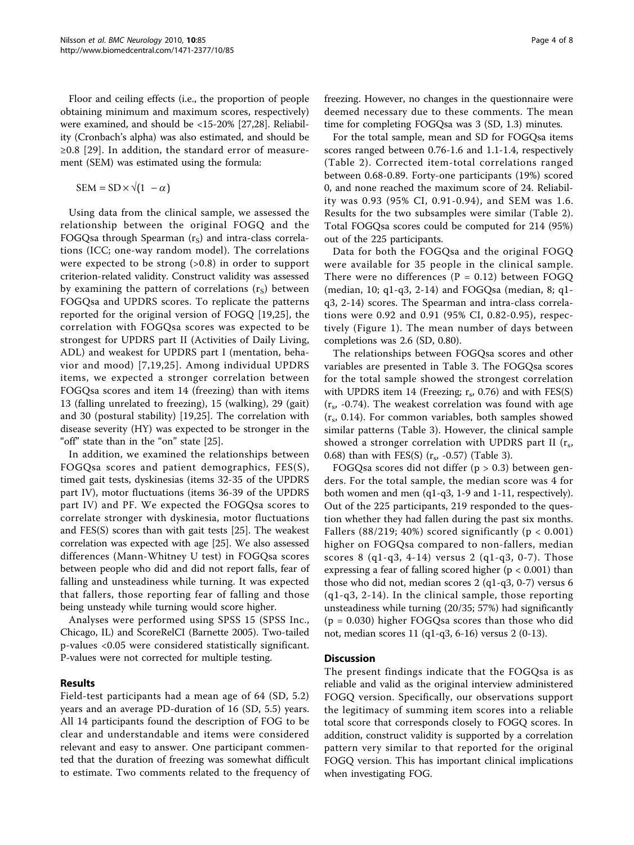Floor and ceiling effects (i.e., the proportion of people obtaining minimum and maximum scores, respectively) were examined, and should be <15-20% [[27,28](#page-7-0)]. Reliability (Cronbach's alpha) was also estimated, and should be ≥0.8 [[29](#page-7-0)]. In addition, the standard error of measurement (SEM) was estimated using the formula:

$$
SEM = SD \times \sqrt{(1 - \alpha)}
$$

Using data from the clinical sample, we assessed the relationship between the original FOGQ and the FOGQsa through Spearman  $(r_S)$  and intra-class correlations (ICC; one-way random model). The correlations were expected to be strong  $(>0.8)$  in order to support criterion-related validity. Construct validity was assessed by examining the pattern of correlations  $(r<sub>S</sub>)$  between FOGQsa and UPDRS scores. To replicate the patterns reported for the original version of FOGQ [[19,25](#page-7-0)], the correlation with FOGQsa scores was expected to be strongest for UPDRS part II (Activities of Daily Living, ADL) and weakest for UPDRS part I (mentation, behavior and mood) [\[7,](#page-6-0)[19,25\]](#page-7-0). Among individual UPDRS items, we expected a stronger correlation between FOGQsa scores and item 14 (freezing) than with items 13 (falling unrelated to freezing), 15 (walking), 29 (gait) and 30 (postural stability) [\[19,25](#page-7-0)]. The correlation with disease severity (HY) was expected to be stronger in the "off" state than in the "on" state [[25](#page-7-0)].

In addition, we examined the relationships between FOGQsa scores and patient demographics, FES(S), timed gait tests, dyskinesias (items 32-35 of the UPDRS part IV), motor fluctuations (items 36-39 of the UPDRS part IV) and PF. We expected the FOGQsa scores to correlate stronger with dyskinesia, motor fluctuations and FES(S) scores than with gait tests [\[25](#page-7-0)]. The weakest correlation was expected with age [\[25](#page-7-0)]. We also assessed differences (Mann-Whitney U test) in FOGQsa scores between people who did and did not report falls, fear of falling and unsteadiness while turning. It was expected that fallers, those reporting fear of falling and those being unsteady while turning would score higher.

Analyses were performed using SPSS 15 (SPSS Inc., Chicago, IL) and ScoreRelCI (Barnette 2005). Two-tailed p-values <0.05 were considered statistically significant. P-values were not corrected for multiple testing.

# Results

Field-test participants had a mean age of 64 (SD, 5.2) years and an average PD-duration of 16 (SD, 5.5) years. All 14 participants found the description of FOG to be clear and understandable and items were considered relevant and easy to answer. One participant commented that the duration of freezing was somewhat difficult to estimate. Two comments related to the frequency of

time for completing FOGQsa was 3 (SD, 1.3) minutes. For the total sample, mean and SD for FOGQsa items scores ranged between 0.76-1.6 and 1.1-1.4, respectively (Table [2\)](#page-4-0). Corrected item-total correlations ranged between 0.68-0.89. Forty-one participants (19%) scored 0, and none reached the maximum score of 24. Reliability was 0.93 (95% CI, 0.91-0.94), and SEM was 1.6. Results for the two subsamples were similar (Table [2](#page-4-0)). Total FOGQsa scores could be computed for 214 (95%) out of the 225 participants.

Data for both the FOGQsa and the original FOGQ were available for 35 people in the clinical sample. There were no differences ( $P = 0.12$ ) between FOGQ (median, 10; q1-q3, 2-14) and FOGQsa (median, 8; q1 q3, 2-14) scores. The Spearman and intra-class correlations were 0.92 and 0.91 (95% CI, 0.82-0.95), respectively (Figure [1](#page-4-0)). The mean number of days between completions was 2.6 (SD, 0.80).

The relationships between FOGQsa scores and other variables are presented in Table [3.](#page-5-0) The FOGQsa scores for the total sample showed the strongest correlation with UPDRS item 14 (Freezing;  $r_s$ , 0.76) and with FES(S)  $(r<sub>s</sub>, -0.74)$ . The weakest correlation was found with age  $(r<sub>s</sub>, 0.14)$ . For common variables, both samples showed similar patterns (Table [3\)](#page-5-0). However, the clinical sample showed a stronger correlation with UPDRS part II  $(r<sub>s</sub>,$ 0.68) than with FES(S)  $(r_s, -0.57)$  (Table [3](#page-5-0)).

FOGQsa scores did not differ  $(p > 0.3)$  between genders. For the total sample, the median score was 4 for both women and men (q1-q3, 1-9 and 1-11, respectively). Out of the 225 participants, 219 responded to the question whether they had fallen during the past six months. Fallers (88/219; 40%) scored significantly ( $p < 0.001$ ) higher on FOGQsa compared to non-fallers, median scores 8 (q1-q3, 4-14) versus 2 (q1-q3, 0-7). Those expressing a fear of falling scored higher ( $p < 0.001$ ) than those who did not, median scores 2 (q1-q3, 0-7) versus 6 (q1-q3, 2-14). In the clinical sample, those reporting unsteadiness while turning (20/35; 57%) had significantly  $(p = 0.030)$  higher FOGQsa scores than those who did not, median scores 11 (q1-q3, 6-16) versus 2 (0-13).

## **Discussion**

The present findings indicate that the FOGQsa is as reliable and valid as the original interview administered FOGQ version. Specifically, our observations support the legitimacy of summing item scores into a reliable total score that corresponds closely to FOGQ scores. In addition, construct validity is supported by a correlation pattern very similar to that reported for the original FOGQ version. This has important clinical implications when investigating FOG.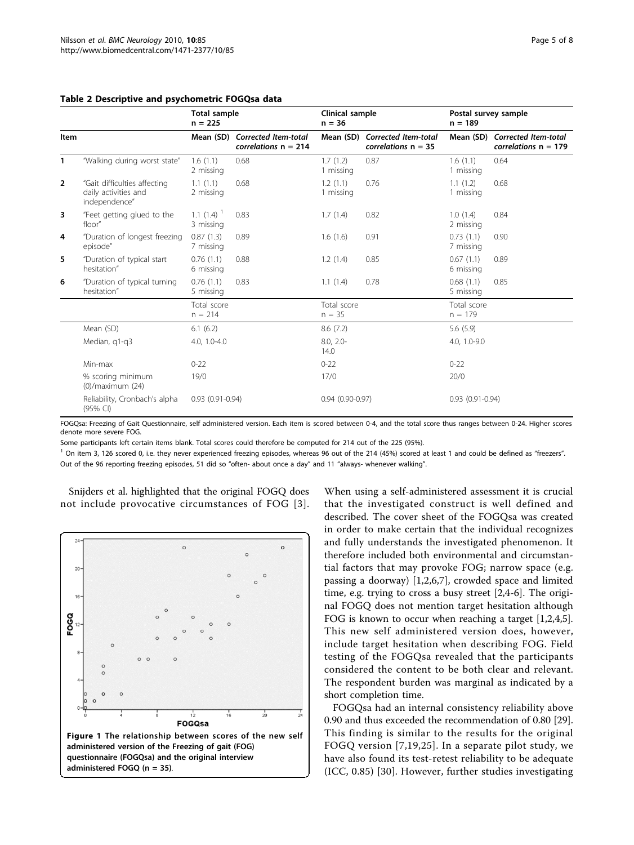|                |                                                                       | <b>Total sample</b><br>$n = 225$ |                                                          | Clinical sample<br>$n = 36$ |                                                         | Postal survey sample<br>$n = 189$ |                                                          |  |
|----------------|-----------------------------------------------------------------------|----------------------------------|----------------------------------------------------------|-----------------------------|---------------------------------------------------------|-----------------------------------|----------------------------------------------------------|--|
| <b>Item</b>    |                                                                       |                                  | Mean (SD) Corrected Item-total<br>correlations $n = 214$ |                             | Mean (SD) Corrected Item-total<br>correlations $n = 35$ |                                   | Mean (SD) Corrected Item-total<br>correlations $n = 179$ |  |
| 1              | "Walking during worst state"                                          | 1.6(1.1)<br>2 missing            | 0.68                                                     | 1.7(1.2)<br>1 missing       | 0.87                                                    | 1.6(1.1)<br>1 missing             | 0.64                                                     |  |
| $\overline{2}$ | "Gait difficulties affecting<br>daily activities and<br>independence" | 1.1(1.1)<br>2 missing            | 0.68                                                     | 1.2(1.1)<br>1 missing       | 0.76                                                    | 1.1(1.2)<br>1 missing             | 0.68                                                     |  |
| 3              | "Feet getting glued to the<br>floor"                                  | $1.1(1.4)^{-1}$<br>3 missing     | 0.83                                                     | 1.7(1.4)                    | 0.82                                                    | 1.0(1.4)<br>2 missing             | 0.84                                                     |  |
| 4              | "Duration of longest freezing<br>episode"                             | 0.87(1.3)<br>7 missing           | 0.89                                                     | 1.6(1.6)                    | 0.91                                                    | 0.73(1.1)<br>7 missing            | 0.90                                                     |  |
| 5              | "Duration of typical start<br>hesitation"                             | 0.76(1.1)<br>6 missing           | 0.88                                                     | 1.2(1.4)                    | 0.85                                                    | 0.67(1.1)<br>6 missing            | 0.89                                                     |  |
| 6              | "Duration of typical turning<br>hesitation"                           | 0.76(1.1)<br>5 missing           | 0.83                                                     | 1.1(1.4)                    | 0.78                                                    | 0.68(1.1)<br>5 missing            | 0.85                                                     |  |
|                |                                                                       | Total score<br>$n = 214$         |                                                          | Total score<br>$n = 35$     |                                                         | Total score<br>$n = 179$          |                                                          |  |
|                | Mean (SD)                                                             | 6.1(6.2)                         |                                                          | 8.6(7.2)                    |                                                         | 5.6(5.9)                          |                                                          |  |
|                | Median, q1-q3                                                         | 4.0, 1.0-4.0                     |                                                          | $8.0, 2.0 -$<br>14.0        |                                                         | 4.0, 1.0-9.0                      |                                                          |  |
|                | Min-max                                                               | $0 - 22$                         |                                                          | $0 - 22$                    |                                                         | $0 - 22$                          |                                                          |  |
|                | % scoring minimum<br>$(0)/$ maximum $(24)$                            | 19/0<br>$0.93(0.91 - 0.94)$      |                                                          | 17/0                        |                                                         | 20/0                              |                                                          |  |
|                | Reliability, Cronbach's alpha<br>(95% CI)                             |                                  |                                                          | $0.94(0.90 - 0.97)$         |                                                         | $0.93(0.91 - 0.94)$               |                                                          |  |

## <span id="page-4-0"></span>Table 2 Descriptive and psychometric FOGQsa data

FOGQsa: Freezing of Gait Questionnaire, self administered version. Each item is scored between 0-4, and the total score thus ranges between 0-24. Higher scores denote more severe FOG.

Some participants left certain items blank. Total scores could therefore be computed for 214 out of the 225 (95%).

 $1$  On item 3, 126 scored 0, i.e. they never experienced freezing episodes, whereas 96 out of the 214 (45%) scored at least 1 and could be defined as "freezers". Out of the 96 reporting freezing episodes, 51 did so "often- about once a day" and 11 "always- whenever walking".

Snijders et al. highlighted that the original FOGQ does not include provocative circumstances of FOG [[3\]](#page-6-0).



When using a self-administered assessment it is crucial that the investigated construct is well defined and described. The cover sheet of the FOGQsa was created in order to make certain that the individual recognizes and fully understands the investigated phenomenon. It therefore included both environmental and circumstantial factors that may provoke FOG; narrow space (e.g. passing a doorway) [\[1,2](#page-6-0),[6,7\]](#page-6-0), crowded space and limited time, e.g. trying to cross a busy street [\[2](#page-6-0),[4-6\]](#page-6-0). The original FOGQ does not mention target hesitation although FOG is known to occur when reaching a target [\[1,2,4,5](#page-6-0)]. This new self administered version does, however, include target hesitation when describing FOG. Field testing of the FOGQsa revealed that the participants considered the content to be both clear and relevant. The respondent burden was marginal as indicated by a short completion time.

FOGQsa had an internal consistency reliability above 0.90 and thus exceeded the recommendation of 0.80 [[29](#page-7-0)]. This finding is similar to the results for the original FOGQ version [[7](#page-6-0),[19](#page-7-0),[25](#page-7-0)]. In a separate pilot study, we have also found its test-retest reliability to be adequate (ICC, 0.85) [[30](#page-7-0)]. However, further studies investigating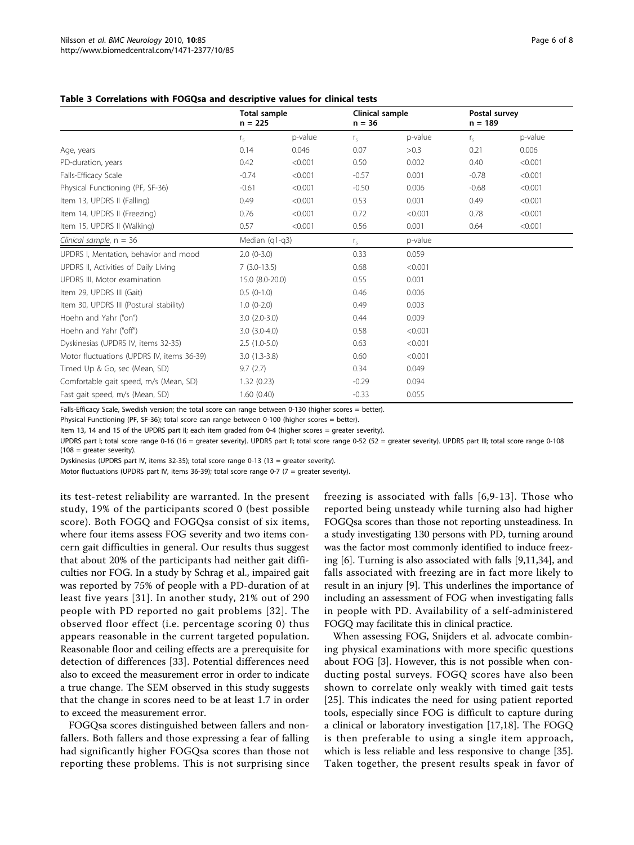<span id="page-5-0"></span>

|                                            | <b>Total sample</b><br>$n = 225$ |         | Clinical sample<br>$n = 36$ |         | Postal survey<br>$n = 189$ |         |
|--------------------------------------------|----------------------------------|---------|-----------------------------|---------|----------------------------|---------|
|                                            | $r_{s}$                          | p-value | $r_{\rm s}$                 | p-value | $r_{5}$                    | p-value |
| Age, years                                 | 0.14                             | 0.046   | 0.07                        | >0.3    | 0.21                       | 0.006   |
| PD-duration, years                         | 0.42                             | < 0.001 | 0.50                        | 0.002   | 0.40                       | < 0.001 |
| Falls-Efficacy Scale                       | $-0.74$                          | < 0.001 | $-0.57$                     | 0.001   | $-0.78$                    | < 0.001 |
| Physical Functioning (PF, SF-36)           | $-0.61$                          | < 0.001 | $-0.50$                     | 0.006   | $-0.68$                    | < 0.001 |
| Item 13, UPDRS II (Falling)                | 0.49                             | < 0.001 | 0.53                        | 0.001   | 0.49                       | < 0.001 |
| Item 14, UPDRS II (Freezing)               | 0.76                             | < 0.001 | 0.72                        | < 0.001 | 0.78                       | < 0.001 |
| Item 15, UPDRS II (Walking)                | 0.57                             | < 0.001 | 0.56                        | 0.001   | 0.64                       | < 0.001 |
| Clinical sample, $n = 36$                  | Median (q1-q3)                   |         | $r_{s}$                     | p-value |                            |         |
| UPDRS I, Mentation, behavior and mood      | $2.0(0-3.0)$                     |         | 0.33                        | 0.059   |                            |         |
| UPDRS II, Activities of Daily Living       | $7(3.0-13.5)$                    |         | 0.68                        | < 0.001 |                            |         |
| UPDRS III, Motor examination               | 15.0 (8.0-20.0)                  |         | 0.55                        | 0.001   |                            |         |
| Item 29, UPDRS III (Gait)                  | $0.5(0-1.0)$                     |         | 0.46                        | 0.006   |                            |         |
| Item 30, UPDRS III (Postural stability)    | $1.0(0-2.0)$                     |         | 0.49                        | 0.003   |                            |         |
| Hoehn and Yahr ("on")                      | $3.0(2.0-3.0)$                   |         | 0.44                        | 0.009   |                            |         |
| Hoehn and Yahr ("off")                     | $3.0(3.0-4.0)$                   |         | 0.58                        | < 0.001 |                            |         |
| Dyskinesias (UPDRS IV, items 32-35)        | $2.5(1.0-5.0)$                   |         | 0.63                        | < 0.001 |                            |         |
| Motor fluctuations (UPDRS IV, items 36-39) | $3.0(1.3-3.8)$                   |         | 0.60                        | < 0.001 |                            |         |
| Timed Up & Go, sec (Mean, SD)              | 9.7(2.7)                         |         | 0.34                        | 0.049   |                            |         |
| Comfortable gait speed, m/s (Mean, SD)     | 1.32(0.23)                       |         | $-0.29$                     | 0.094   |                            |         |
| Fast gait speed, m/s (Mean, SD)            | 1.60(0.40)                       |         | $-0.33$                     | 0.055   |                            |         |

Falls-Efficacy Scale, Swedish version; the total score can range between 0-130 (higher scores = better).

Physical Functioning (PF, SF-36); total score can range between 0-100 (higher scores = better).

Item 13, 14 and 15 of the UPDRS part II; each item graded from 0-4 (higher scores = greater severity).

UPDRS part I; total score range 0-16 (16 = greater severity). UPDRS part II; total score range 0-52 (52 = greater severity). UPDRS part III; total score range 0-108  $(108 =$  greater severity).

Dyskinesias (UPDRS part IV, items 32-35); total score range 0-13 (13 = greater severity).

Motor fluctuations (UPDRS part IV, items 36-39); total score range 0-7 (7 = greater severity).

its test-retest reliability are warranted. In the present study, 19% of the participants scored 0 (best possible score). Both FOGQ and FOGQsa consist of six items, where four items assess FOG severity and two items concern gait difficulties in general. Our results thus suggest that about 20% of the participants had neither gait difficulties nor FOG. In a study by Schrag et al., impaired gait was reported by 75% of people with a PD-duration of at least five years [[31\]](#page-7-0). In another study, 21% out of 290 people with PD reported no gait problems [[32](#page-7-0)]. The observed floor effect (i.e. percentage scoring 0) thus appears reasonable in the current targeted population. Reasonable floor and ceiling effects are a prerequisite for detection of differences [\[33\]](#page-7-0). Potential differences need also to exceed the measurement error in order to indicate a true change. The SEM observed in this study suggests that the change in scores need to be at least 1.7 in order to exceed the measurement error.

FOGQsa scores distinguished between fallers and nonfallers. Both fallers and those expressing a fear of falling had significantly higher FOGQsa scores than those not reporting these problems. This is not surprising since freezing is associated with falls [[6,9](#page-6-0)-[13\]](#page-6-0). Those who reported being unsteady while turning also had higher FOGQsa scores than those not reporting unsteadiness. In a study investigating 130 persons with PD, turning around was the factor most commonly identified to induce freezing [\[6](#page-6-0)]. Turning is also associated with falls [[9,11,](#page-6-0)[34\]](#page-7-0), and falls associated with freezing are in fact more likely to result in an injury [[9\]](#page-6-0). This underlines the importance of including an assessment of FOG when investigating falls in people with PD. Availability of a self-administered FOGQ may facilitate this in clinical practice.

When assessing FOG, Snijders et al. advocate combining physical examinations with more specific questions about FOG [[3\]](#page-6-0). However, this is not possible when conducting postal surveys. FOGQ scores have also been shown to correlate only weakly with timed gait tests [[25](#page-7-0)]. This indicates the need for using patient reported tools, especially since FOG is difficult to capture during a clinical or laboratory investigation [[17,18\]](#page-7-0). The FOGQ is then preferable to using a single item approach, which is less reliable and less responsive to change [\[35](#page-7-0)]. Taken together, the present results speak in favor of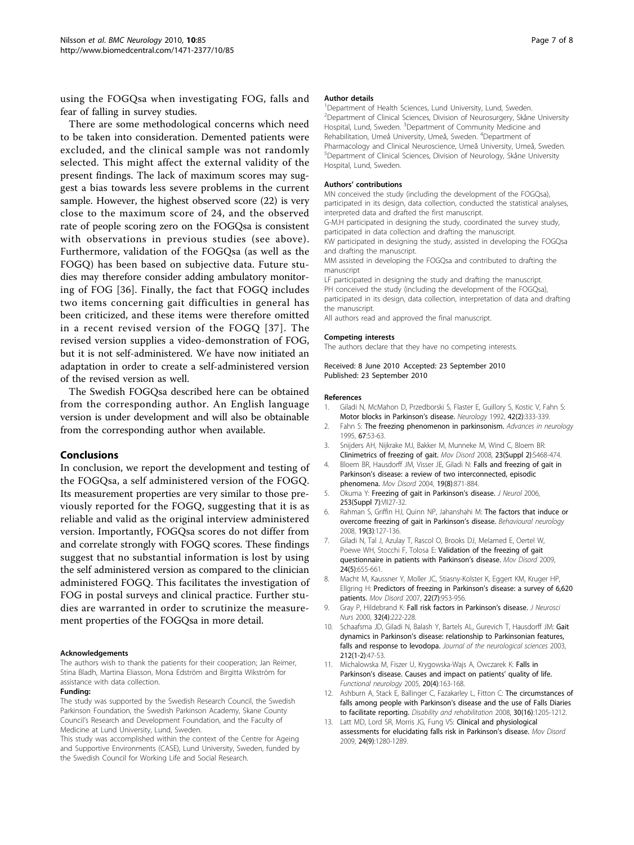<span id="page-6-0"></span>using the FOGQsa when investigating FOG, falls and fear of falling in survey studies.

There are some methodological concerns which need to be taken into consideration. Demented patients were excluded, and the clinical sample was not randomly selected. This might affect the external validity of the present findings. The lack of maximum scores may suggest a bias towards less severe problems in the current sample. However, the highest observed score (22) is very close to the maximum score of 24, and the observed rate of people scoring zero on the FOGQsa is consistent with observations in previous studies (see above). Furthermore, validation of the FOGQsa (as well as the FOGQ) has been based on subjective data. Future studies may therefore consider adding ambulatory monitoring of FOG [[36](#page-7-0)]. Finally, the fact that FOGQ includes two items concerning gait difficulties in general has been criticized, and these items were therefore omitted in a recent revised version of the FOGQ [[37](#page-7-0)]. The revised version supplies a video-demonstration of FOG, but it is not self-administered. We have now initiated an adaptation in order to create a self-administered version of the revised version as well.

The Swedish FOGQsa described here can be obtained from the corresponding author. An English language version is under development and will also be obtainable from the corresponding author when available.

## Conclusions

In conclusion, we report the development and testing of the FOGQsa, a self administered version of the FOGQ. Its measurement properties are very similar to those previously reported for the FOGQ, suggesting that it is as reliable and valid as the original interview administered version. Importantly, FOGQsa scores do not differ from and correlate strongly with FOGQ scores. These findings suggest that no substantial information is lost by using the self administered version as compared to the clinician administered FOGQ. This facilitates the investigation of FOG in postal surveys and clinical practice. Further studies are warranted in order to scrutinize the measurement properties of the FOGQsa in more detail.

#### Acknowledgements

The authors wish to thank the patients for their cooperation; Jan Reimer, Stina Bladh, Martina Eliasson, Mona Edström and Birgitta Wikström for assistance with data collection.

## Funding:

The study was supported by the Swedish Research Council, the Swedish Parkinson Foundation, the Swedish Parkinson Academy, Skane County Council's Research and Development Foundation, and the Faculty of Medicine at Lund University, Lund, Sweden.

This study was accomplished within the context of the Centre for Ageing and Supportive Environments (CASE), Lund University, Sweden, funded by the Swedish Council for Working Life and Social Research.

#### Author details

<sup>1</sup>Department of Health Sciences, Lund University, Lund, Sweden. <sup>2</sup>Department of Clinical Sciences, Division of Neurosurgery, Skåne University Hospital, Lund, Sweden. <sup>3</sup>Department of Community Medicine and Rehabilitation, Umeå University, Umeå, Sweden. <sup>4</sup>Department of Pharmacology and Clinical Neuroscience, Umeå University, Umeå, Sweden. 5 Department of Clinical Sciences, Division of Neurology, Skåne University Hospital, Lund, Sweden.

#### Authors' contributions

MN conceived the study (including the development of the FOGQsa), participated in its design, data collection, conducted the statistical analyses, interpreted data and drafted the first manuscript.

G-M.H participated in designing the study, coordinated the survey study, participated in data collection and drafting the manuscript.

KW participated in designing the study, assisted in developing the FOGQsa and drafting the manuscript.

MM assisted in developing the FOGQsa and contributed to drafting the manuscript

LF participated in designing the study and drafting the manuscript. PH conceived the study (including the development of the FOGQsa), participated in its design, data collection, interpretation of data and drafting the manuscript.

All authors read and approved the final manuscript.

#### Competing interests

The authors declare that they have no competing interests.

### Received: 8 June 2010 Accepted: 23 September 2010 Published: 23 September 2010

#### References

- 1. Giladi N, McMahon D, Przedborski S, Flaster E, Guillory S, Kostic V, Fahn S: [Motor blocks in Parkinson](http://www.ncbi.nlm.nih.gov/pubmed/1736161?dopt=Abstract)'s disease. Neurology 1992, 42(2):333-339.
- 2. Fahn S: [The freezing phenomenon in parkinsonism.](http://www.ncbi.nlm.nih.gov/pubmed/8848982?dopt=Abstract) Advances in neurology 1995, 67:53-63.
- 3. Snijders AH, Nijkrake MJ, Bakker M, Munneke M, Wind C, Bloem BR: [Clinimetrics of freezing of gait.](http://www.ncbi.nlm.nih.gov/pubmed/18668628?dopt=Abstract) Mov Disord 2008, 23(Suppl 2):S468-474.
- 4. Bloem BR, Hausdorff JM, Visser JE, Giladi N: [Falls and freezing of gait in](http://www.ncbi.nlm.nih.gov/pubmed/15300651?dopt=Abstract) Parkinson'[s disease: a review of two interconnected, episodic](http://www.ncbi.nlm.nih.gov/pubmed/15300651?dopt=Abstract) [phenomena.](http://www.ncbi.nlm.nih.gov/pubmed/15300651?dopt=Abstract) Mov Disord 2004, 19(8):871-884.
- 5. Okuma Y: [Freezing of gait in Parkinson](http://www.ncbi.nlm.nih.gov/pubmed/17131225?dopt=Abstract)'s disease. J Neurol 2006, 253(Suppl 7):VII27-32.
- 6. Rahman S, Griffin HJ, Quinn NP, Jahanshahi M: [The factors that induce or](http://www.ncbi.nlm.nih.gov/pubmed/18641432?dopt=Abstract) [overcome freezing of gait in Parkinson](http://www.ncbi.nlm.nih.gov/pubmed/18641432?dopt=Abstract)'s disease. Behavioural neurology 2008, 19(3):127-136.
- 7. Giladi N, Tal J, Azulay T, Rascol O, Brooks DJ, Melamed E, Oertel W, Poewe WH, Stocchi F, Tolosa E: [Validation of the freezing of gait](http://www.ncbi.nlm.nih.gov/pubmed/19127595?dopt=Abstract) [questionnaire in patients with Parkinson](http://www.ncbi.nlm.nih.gov/pubmed/19127595?dopt=Abstract)'s disease. Mov Disord 2009, 24(5):655-661.
- 8. Macht M, Kaussner Y, Moller JC, Stiasny-Kolster K, Eggert KM, Kruger HP, Ellgring H: [Predictors of freezing in Parkinson](http://www.ncbi.nlm.nih.gov/pubmed/17377927?dopt=Abstract)'s disease: a survey of 6,620 [patients.](http://www.ncbi.nlm.nih.gov/pubmed/17377927?dopt=Abstract) Mov Disord 2007, 22(7):953-956.
- 9. Gray P, Hildebrand K: [Fall risk factors in Parkinson](http://www.ncbi.nlm.nih.gov/pubmed/10994536?dopt=Abstract)'s disease. J Neurosci Nurs 2000, 32(4):222-228.
- 10. Schaafsma JD, Giladi N, Balash Y, Bartels AL, Gurevich T, Hausdorff JM: [Gait](http://www.ncbi.nlm.nih.gov/pubmed/12809998?dopt=Abstract) dynamics in Parkinson'[s disease: relationship to Parkinsonian features,](http://www.ncbi.nlm.nih.gov/pubmed/12809998?dopt=Abstract) [falls and response to levodopa.](http://www.ncbi.nlm.nih.gov/pubmed/12809998?dopt=Abstract) Journal of the neurological sciences 2003, 212(1-2):47-53.
- 11. Michalowska M, Fiszer U, Krygowska-Wajs A, Owczarek K: [Falls in](http://www.ncbi.nlm.nih.gov/pubmed/16483454?dopt=Abstract) Parkinson'[s disease. Causes and impact on patients](http://www.ncbi.nlm.nih.gov/pubmed/16483454?dopt=Abstract)' quality of life. Functional neurology 2005, 20(4):163-168.
- 12. Ashburn A, Stack E, Ballinger C, Fazakarley L, Fitton C: [The circumstances of](http://www.ncbi.nlm.nih.gov/pubmed/18608387?dopt=Abstract) falls among people with Parkinson'[s disease and the use of Falls Diaries](http://www.ncbi.nlm.nih.gov/pubmed/18608387?dopt=Abstract) [to facilitate reporting.](http://www.ncbi.nlm.nih.gov/pubmed/18608387?dopt=Abstract) Disability and rehabilitation 2008, 30(16):1205-1212.
- 13. Latt MD, Lord SR, Morris JG, Fung VS: [Clinical and physiological](http://www.ncbi.nlm.nih.gov/pubmed/19425059?dopt=Abstract) [assessments for elucidating falls risk in Parkinson](http://www.ncbi.nlm.nih.gov/pubmed/19425059?dopt=Abstract)'s disease. Mov Disord 2009, 24(9):1280-1289.